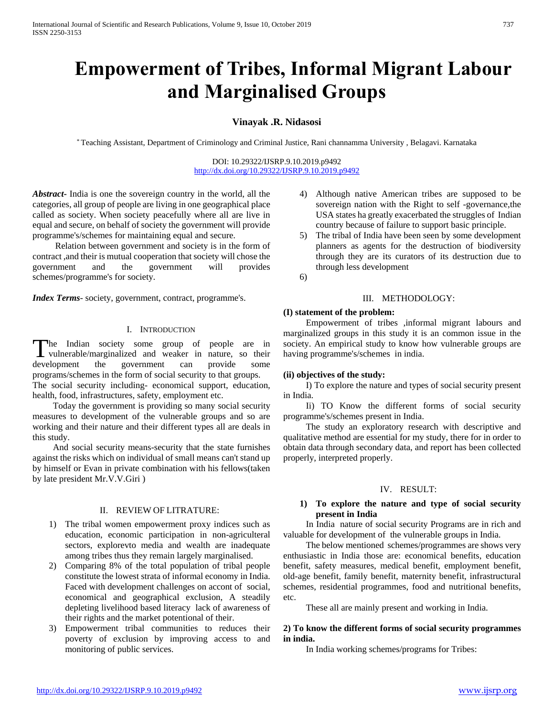# **Empowerment of Tribes, Informal Migrant Labour and Marginalised Groups**

# **Vinayak .R. Nidasosi**

\* Teaching Assistant, Department of Criminology and Criminal Justice, Rani channamma University , Belagavi. Karnataka

DOI: 10.29322/IJSRP.9.10.2019.p9492 <http://dx.doi.org/10.29322/IJSRP.9.10.2019.p9492>

*Abstract***-** India is one the sovereign country in the world, all the categories, all group of people are living in one geographical place called as society. When society peacefully where all are live in equal and secure, on behalf of society the government will provide programme's/schemes for maintaining equal and secure.

 Relation between government and society is in the form of contract ,and their is mutual cooperation that society will chose the government and the government will provides schemes/programme's for society.

*Index Terms*- society, government, contract, programme's.

#### I. INTRODUCTION

The Indian society some group of people are in The Indian society some group of people are in vulnerable/marginalized and weaker in nature, so their development the government can provide some programs/schemes in the form of social security to that groups. The social security including- economical support, education,

health, food, infrastructures, safety, employment etc.

 Today the government is providing so many social security measures to development of the vulnerable groups and so are working and their nature and their different types all are deals in this study.

 And social security means-security that the state furnishes against the risks which on individual of small means can't stand up by himself or Evan in private combination with his fellows(taken by late president Mr.V.V.Giri )

#### II. REVIEW OF LITRATURE:

- 1) The tribal women empowerment proxy indices such as education, economic participation in non-agriculteral sectors, explorevto media and wealth are inadequate among tribes thus they remain largely marginalised.
- 2) Comparing 8% of the total population of tribal people constitute the lowest strata of informal economy in India. Faced with development challenges on accont of social, economical and geographical exclusion, A steadily depleting livelihood based literacy lack of awareness of their rights and the market potentional of their.
- 3) Empowerment tribal communities to reduces their poverty of exclusion by improving access to and monitoring of public services.
- 4) Although native American tribes are supposed to be sovereign nation with the Right to self -governance,the USA states ha greatly exacerbated the struggles of Indian country because of failure to support basic principle.
- 5) The tribal of India have been seen by some development planners as agents for the destruction of biodiversity through they are its curators of its destruction due to through less development
- 6)

### III. METHODOLOGY:

#### **(I) statement of the problem:**

 Empowerment of tribes ,informal migrant labours and marginalized groups in this study it is an common issue in the society. An empirical study to know how vulnerable groups are having programme's/schemes in india.

### **(ii) objectives of the study:**

 I) To explore the nature and types of social security present in India.

Ii) TO Know the different forms of social security programme's/schemes present in India.

 The study an exploratory research with descriptive and qualitative method are essential for my study, there for in order to obtain data through secondary data, and report has been collected properly, interpreted properly.

### IV. RESULT:

## **1) To explore the nature and type of social security present in India**

 In India nature of social security Programs are in rich and valuable for development of the vulnerable groups in India.

 The below mentioned schemes/programmes are shows very enthusiastic in India those are: economical benefits, education benefit, safety measures, medical benefit, employment benefit, old-age benefit, family benefit, maternity benefit, infrastructural schemes, residential programmes, food and nutritional benefits, etc.

These all are mainly present and working in India.

# **2) To know the different forms of social security programmes in india.**

In India working schemes/programs for Tribes: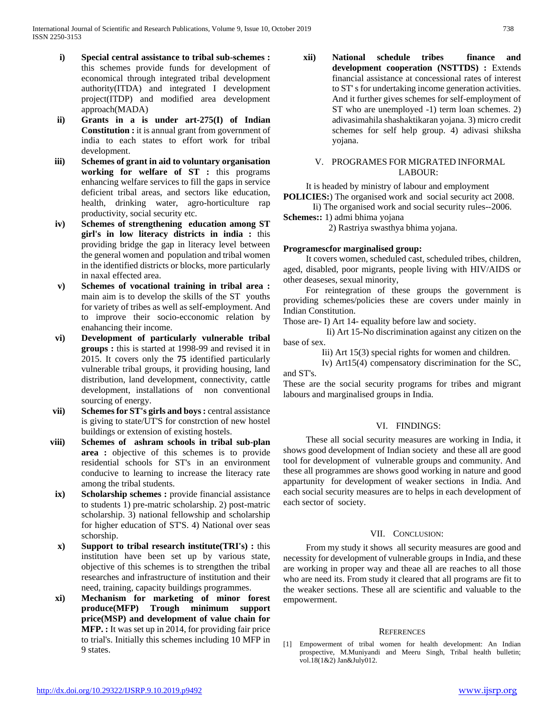- **i) Special central assistance to tribal sub-schemes :**  this schemes provide funds for development of economical through integrated tribal development authority(ITDA) and integrated I development project(ITDP) and modified area development approach(MADA)
- **ii) Grants in a is under art-275(I) of Indian Constitution :** it is annual grant from government of india to each states to effort work for tribal development.
- **iii) Schemes of grant in aid to voluntary organisation working for welfare of ST :** this programs enhancing welfare services to fill the gaps in service deficient tribal areas, and sectors like education, health, drinking water, agro-horticulture rap productivity, social security etc.
- **iv) Schemes of strengthening education among ST girl's in low literacy districts in india :** this providing bridge the gap in literacy level between the general women and population and tribal women in the identified districts or blocks, more particularly in naxal effected area.
- **v) Schemes of vocational training in tribal area :**  main aim is to develop the skills of the ST youths for variety of tribes as well as self-employment. And to improve their socio-ecconomic relation by enahancing their income.
- **vi) Development of particularly vulnerable tribal groups :** this is started at 1998-99 and revised it in 2015. It covers only the **75** identified particularly vulnerable tribal groups, it providing housing, land distribution, land development, connectivity, cattle development, installations of non conventional sourcing of energy.
- **vii) Schemes for ST's girls and boys :** central assistance is giving to state/UT'S for constrction of new hostel buildings or extension of existing hostels.
- **viii) Schemes of ashram schools in tribal sub-plan area :** objective of this schemes is to provide residential schools for ST's in an environment conducive to learning to increase the literacy rate among the tribal students.
- **ix) Scholarship schemes :** provide financial assistance to students 1) pre-matric scholarship. 2) post-matric scholarship. 3) national fellowship and scholarship for higher education of ST'S. 4) National over seas schorship.
- **x) Support to tribal research institute(TRI's) :** this institution have been set up by various state, objective of this schemes is to strengthen the tribal researches and infrastructure of institution and their need, training, capacity buildings programmes.
- **xi) Mechanism for marketing of minor forest produce(MFP) Trough minimum support price(MSP) and development of value chain for MFP. :** It was set up in 2014, for providing fair price to trial's. Initially this schemes including 10 MFP in 9 states.

**xii) National schedule tribes finance and development cooperation (NSTTDS) :** Extends financial assistance at concessional rates of interest to ST' s for undertaking income generation activities. And it further gives schemes for self-employment of ST who are unemployed -1) term loan schemes. 2) adivasimahila shashaktikaran yojana. 3) micro credit schemes for self help group. 4) adivasi shiksha yojana.

## V. PROGRAMES FOR MIGRATED INFORMAL LABOUR:

It is headed by ministry of labour and employment

**POLICIES:**) The organised work and social security act 2008. Ii) The organised work and social security rules--2006.

**Schemes::** 1) admi bhima yojana

2) Rastriya swasthya bhima yojana.

## **Programescfor marginalised group:**

 It covers women, scheduled cast, scheduled tribes, children, aged, disabled, poor migrants, people living with HIV/AIDS or other deaseses, sexual minority,

 For reintegration of these groups the government is providing schemes/policies these are covers under mainly in Indian Constitution.

Those are- I) Art 14- equality before law and society.

 Ii) Art 15-No discrimination against any citizen on the base of sex.

Iii) Art 15(3) special rights for women and children.

 Iv) Art15(4) compensatory discrimination for the SC, and ST's.

These are the social security programs for tribes and migrant labours and marginalised groups in India.

# VI. FINDINGS:

 These all social security measures are working in India, it shows good development of Indian society and these all are good tool for development of vulnerable groups and community. And these all programmes are shows good working in nature and good appartunity for development of weaker sections in India. And each social security measures are to helps in each development of each sector of society.

# VII. CONCLUSION:

 From my study it shows all security measures are good and necessity for development of vulnerable groups in India, and these are working in proper way and theae all are reaches to all those who are need its. From study it cleared that all programs are fit to the weaker sections. These all are scientific and valuable to the empowerment.

### **REFERENCES**

[1] Empowerment of tribal women for health development: An Indian prospective, M.Muniyandi and Meeru Singh, Tribal health bulletin; vol.18(1&2) Jan&July012.